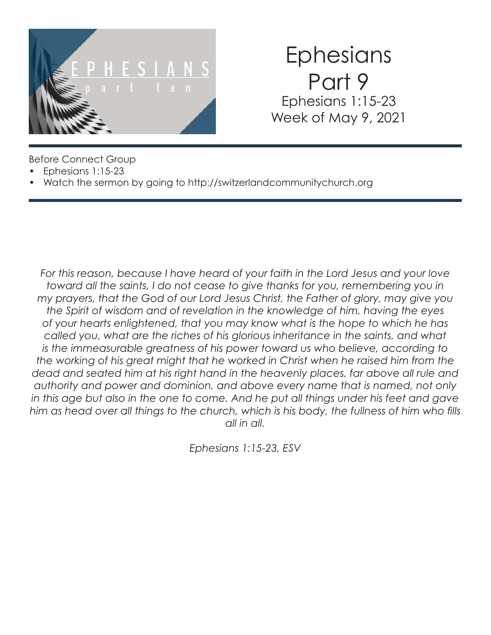

## **Ephesians** Part 9 Ephesians 1:15-23 Week of May 9, 2021

Before Connect Group

- Ephesians 1:15-23
- Watch the sermon by going to http://switzerlandcommunitychurch.org

*For this reason, because I have heard of your faith in the Lord Jesus and your love toward all the saints, I do not cease to give thanks for you, remembering you in my prayers, that the God of our Lord Jesus Christ, the Father of glory, may give you the Spirit of wisdom and of revelation in the knowledge of him, having the eyes of your hearts enlightened, that you may know what is the hope to which he has called you, what are the riches of his glorious inheritance in the saints, and what is the immeasurable greatness of his power toward us who believe, according to the working of his great might that he worked in Christ when he raised him from the*  dead and seated him at his right hand in the heavenly places, far above all rule and *authority and power and dominion, and above every name that is named, not only in this age but also in the one to come. And he put all things under his feet and gave him as head over all things to the church, which is his body, the fullness of him who fills all in all.*

*Ephesians 1:15-23, ESV*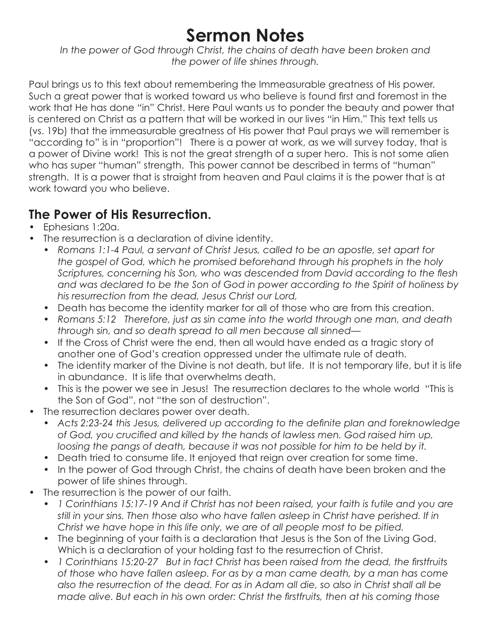## **Sermon Notes**

*In the power of God through Christ, the chains of death have been broken and the power of life shines through.* 

Paul brings us to this text about remembering the Immeasurable greatness of His power. Such a great power that is worked toward us who believe is found first and foremost in the work that He has done "in" Christ. Here Paul wants us to ponder the beauty and power that is centered on Christ as a pattern that will be worked in our lives "in Him." This text tells us (vs. 19b) that the immeasurable greatness of His power that Paul prays we will remember is "according to" is in "proportion"! There is a power at work, as we will survey today, that is a power of Divine work! This is not the great strength of a super hero. This is not some alien who has super "human" strength. This power cannot be described in terms of "human" strength. It is a power that is straight from heaven and Paul claims it is the power that is at work toward you who believe.

#### **The Power of His Resurrection.**

- Ephesians 1:20a.
- The resurrection is a declaration of divine identity.
	- *Romans 1:1-4 Paul, a servant of Christ Jesus, called to be an apostle, set apart for the gospel of God, which he promised beforehand through his prophets in the holy Scriptures, concerning his Son, who was descended from David according to the flesh and was declared to be the Son of God in power according to the Spirit of holiness by his resurrection from the dead, Jesus Christ our Lord,*
	- Death has become the identity marker for all of those who are from this creation.
	- *Romans 5:12 Therefore, just as sin came into the world through one man, and death through sin, and so death spread to all men because all sinned—*
	- If the Cross of Christ were the end, then all would have ended as a tragic story of another one of God's creation oppressed under the ultimate rule of death.
	- The identity marker of the Divine is not death, but life. It is not temporary life, but it is life in abundance. It is life that overwhelms death.
	- This is the power we see in Jesus! The resurrection declares to the whole world "This is the Son of God", not "the son of destruction".
- The resurrection declares power over death.
	- *Acts 2:23-24 this Jesus, delivered up according to the definite plan and foreknowledge of God, you crucified and killed by the hands of lawless men. God raised him up,*  loosing the pangs of death, because it was not possible for him to be held by it.
	- Death tried to consume life. It enjoyed that reign over creation for some time.
	- In the power of God through Christ, the chains of death have been broken and the power of life shines through.
- The resurrection is the power of our faith.
	- *1 Corinthians 15:17-19 And if Christ has not been raised, your faith is futile and you are still in your sins. Then those also who have fallen asleep in Christ have perished. If in Christ we have hope in this life only, we are of all people most to be pitied.*
	- The beginning of your faith is a declaration that Jesus is the Son of the Living God. Which is a declaration of your holding fast to the resurrection of Christ.
	- *1 Corinthians 15:20-27 But in fact Christ has been raised from the dead, the firstfruits of those who have fallen asleep. For as by a man came death, by a man has come also the resurrection of the dead. For as in Adam all die, so also in Christ shall all be made alive. But each in his own order: Christ the firstfruits, then at his coming those*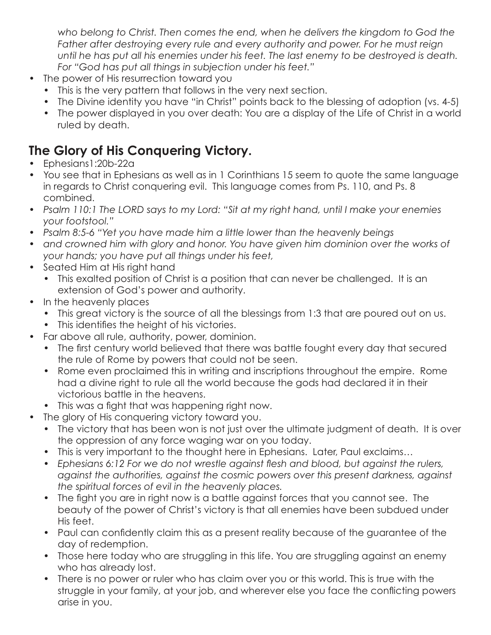*who belong to Christ. Then comes the end, when he delivers the kingdom to God the*  Father after destroying every rule and every authority and power. For he must reign *until he has put all his enemies under his feet. The last enemy to be destroyed is death. For "God has put all things in subjection under his feet."* 

- The power of His resurrection toward you
	- This is the very pattern that follows in the very next section.
	- The Divine identity you have "in Christ" points back to the blessing of adoption (vs. 4-5)
	- The power displayed in you over death: You are a display of the Life of Christ in a world ruled by death.

### **The Glory of His Conquering Victory.**

- Ephesians1:20b-22a
- You see that in Ephesians as well as in 1 Corinthians 15 seem to quote the same language in regards to Christ conquering evil. This language comes from Ps. 110, and Ps. 8 combined.
- *Psalm 110:1 The LORD says to my Lord: "Sit at my right hand, until I make your enemies your footstool."*
- *Psalm 8:5-6 "Yet you have made him a little lower than the heavenly beings*
- and crowned him with glory and honor. You have given him dominion over the works of *your hands; you have put all things under his feet,*
- Seated Him at His right hand
	- This exalted position of Christ is a position that can never be challenged. It is an extension of God's power and authority.
- In the heavenly places
	- This great victory is the source of all the blessings from 1:3 that are poured out on us.
	- This identifies the height of his victories.
- Far above all rule, authority, power, dominion.
	- The first century world believed that there was battle fought every day that secured the rule of Rome by powers that could not be seen.
	- Rome even proclaimed this in writing and inscriptions throughout the empire. Rome had a divine right to rule all the world because the gods had declared it in their victorious battle in the heavens.
	- This was a fight that was happening right now.
- The glory of His conquering victory toward you.
	- The victory that has been won is not just over the ultimate judgment of death. It is over the oppression of any force waging war on you today.
	- This is very important to the thought here in Ephesians. Later, Paul exclaims…
	- *Ephesians 6:12 For we do not wrestle against flesh and blood, but against the rulers, against the authorities, against the cosmic powers over this present darkness, against the spiritual forces of evil in the heavenly places.*
	- The fight you are in right now is a battle against forces that you cannot see. The beauty of the power of Christ's victory is that all enemies have been subdued under His feet.
	- Paul can confidently claim this as a present reality because of the guarantee of the day of redemption.
	- Those here today who are struggling in this life. You are struggling against an enemy who has already lost.
	- There is no power or ruler who has claim over you or this world. This is true with the struggle in your family, at your job, and wherever else you face the conflicting powers arise in you.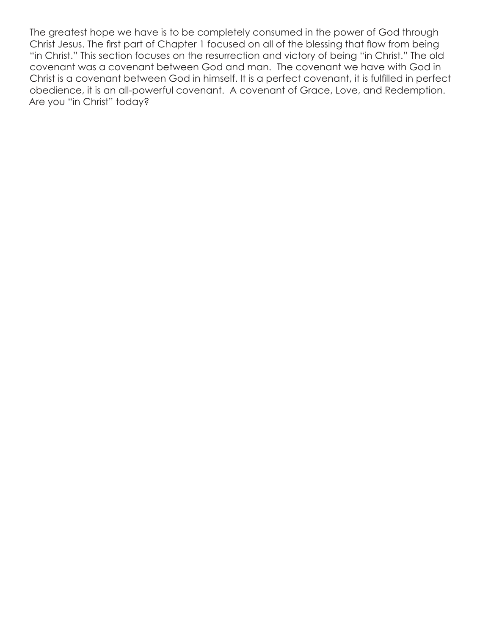The greatest hope we have is to be completely consumed in the power of God through Christ Jesus. The first part of Chapter 1 focused on all of the blessing that flow from being "in Christ." This section focuses on the resurrection and victory of being "in Christ." The old covenant was a covenant between God and man. The covenant we have with God in Christ is a covenant between God in himself. It is a perfect covenant, it is fulfilled in perfect obedience, it is an all-powerful covenant. A covenant of Grace, Love, and Redemption. Are you "in Christ" today?